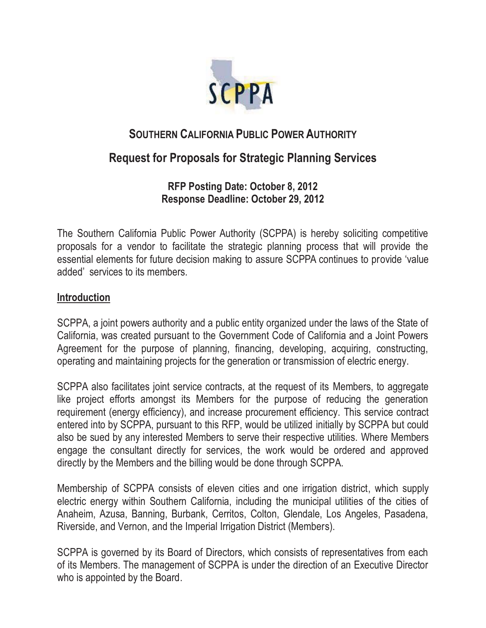

# **SOUTHERN CALIFORNIA PUBLIC POWER AUTHORITY**

# **Request for Proposals for Strategic Planning Services**

**RFP Posting Date: October 8, 2012 Response Deadline: October 29, 2012** 

The Southern California Public Power Authority (SCPPA) is hereby soliciting competitive proposals for a vendor to facilitate the strategic planning process that will provide the essential elements for future decision making to assure SCPPA continues to provide 'value added' services to its members.

# **Introduction**

SCPPA, a joint powers authority and a public entity organized under the laws of the State of California, was created pursuant to the Government Code of California and a Joint Powers Agreement for the purpose of planning, financing, developing, acquiring, constructing, operating and maintaining projects for the generation or transmission of electric energy.

SCPPA also facilitates joint service contracts, at the request of its Members, to aggregate like project efforts amongst its Members for the purpose of reducing the generation requirement (energy efficiency), and increase procurement efficiency. This service contract entered into by SCPPA, pursuant to this RFP, would be utilized initially by SCPPA but could also be sued by any interested Members to serve their respective utilities. Where Members engage the consultant directly for services, the work would be ordered and approved directly by the Members and the billing would be done through SCPPA.

Membership of SCPPA consists of eleven cities and one irrigation district, which supply electric energy within Southern California, including the municipal utilities of the cities of Anaheim, Azusa, Banning, Burbank, Cerritos, Colton, Glendale, Los Angeles, Pasadena, Riverside, and Vernon, and the Imperial Irrigation District (Members).

SCPPA is governed by its Board of Directors, which consists of representatives from each of its Members. The management of SCPPA is under the direction of an Executive Director who is appointed by the Board.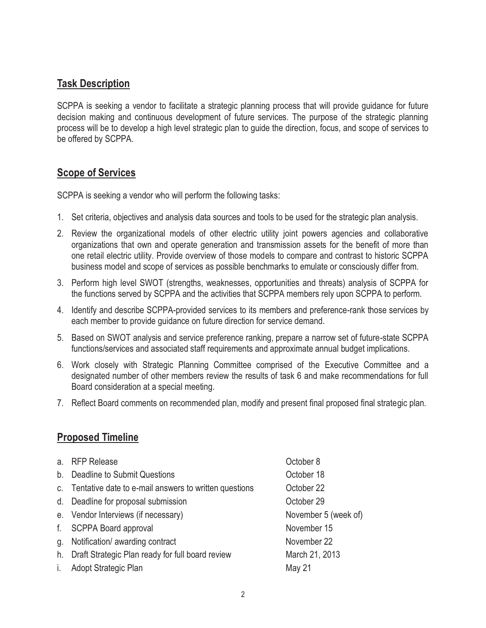## **Task Description**

SCPPA is seeking a vendor to facilitate a strategic planning process that will provide guidance for future decision making and continuous development of future services. The purpose of the strategic planning process will be to develop a high level strategic plan to guide the direction, focus, and scope of services to be offered by SCPPA.

## **Scope of Services**

SCPPA is seeking a vendor who will perform the following tasks:

- 1. Set criteria, objectives and analysis data sources and tools to be used for the strategic plan analysis.
- 2. Review the organizational models of other electric utility joint powers agencies and collaborative organizations that own and operate generation and transmission assets for the benefit of more than one retail electric utility. Provide overview of those models to compare and contrast to historic SCPPA business model and scope of services as possible benchmarks to emulate or consciously differ from.
- 3. Perform high level SWOT (strengths, weaknesses, opportunities and threats) analysis of SCPPA for the functions served by SCPPA and the activities that SCPPA members rely upon SCPPA to perform.
- 4. Identify and describe SCPPA-provided services to its members and preference-rank those services by each member to provide guidance on future direction for service demand.
- 5. Based on SWOT analysis and service preference ranking, prepare a narrow set of future-state SCPPA functions/services and associated staff requirements and approximate annual budget implications.
- 6. Work closely with Strategic Planning Committee comprised of the Executive Committee and a designated number of other members review the results of task 6 and make recommendations for full Board consideration at a special meeting.
- 7. Reflect Board comments on recommended plan, modify and present final proposed final strategic plan.

# **Proposed Timeline**

| a. | <b>RFP Release</b>                                       | October 8            |
|----|----------------------------------------------------------|----------------------|
| b. | Deadline to Submit Questions                             | October 18           |
|    | c. Tentative date to e-mail answers to written questions | October 22           |
|    | d. Deadline for proposal submission                      | October 29           |
|    | e. Vendor Interviews (if necessary)                      | November 5 (week of) |
| f. | <b>SCPPA Board approval</b>                              | November 15          |
| g. | Notification/ awarding contract                          | November 22          |
| h. | Draft Strategic Plan ready for full board review         | March 21, 2013       |
| Ť. | Adopt Strategic Plan                                     | May 21               |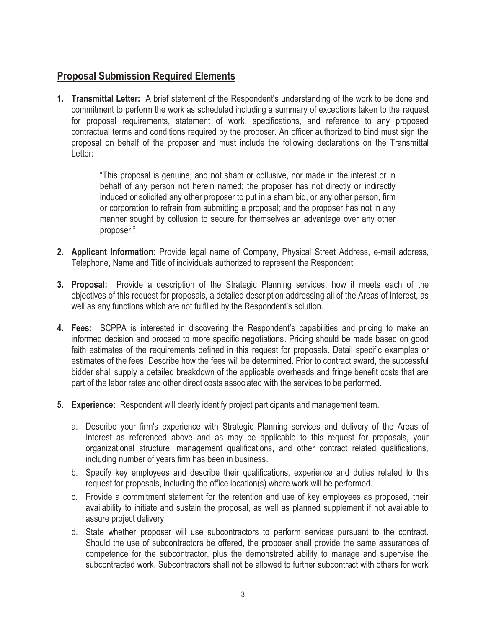# **Proposal Submission Required Elements**

**1. Transmittal Letter:** A brief statement of the Respondent's understanding of the work to be done and commitment to perform the work as scheduled including a summary of exceptions taken to the request for proposal requirements, statement of work, specifications, and reference to any proposed contractual terms and conditions required by the proposer. An officer authorized to bind must sign the proposal on behalf of the proposer and must include the following declarations on the Transmittal Letter:

> "This proposal is genuine, and not sham or collusive, nor made in the interest or in behalf of any person not herein named; the proposer has not directly or indirectly induced or solicited any other proposer to put in a sham bid, or any other person, firm or corporation to refrain from submitting a proposal; and the proposer has not in any manner sought by collusion to secure for themselves an advantage over any other proposer."

- **2. Applicant Information**: Provide legal name of Company, Physical Street Address, e-mail address, Telephone, Name and Title of individuals authorized to represent the Respondent.
- **3. Proposal:** Provide a description of the Strategic Planning services, how it meets each of the objectives of this request for proposals, a detailed description addressing all of the Areas of Interest, as well as any functions which are not fulfilled by the Respondent's solution.
- **4. Fees:** SCPPA is interested in discovering the Respondent's capabilities and pricing to make an informed decision and proceed to more specific negotiations. Pricing should be made based on good faith estimates of the requirements defined in this request for proposals. Detail specific examples or estimates of the fees. Describe how the fees will be determined. Prior to contract award, the successful bidder shall supply a detailed breakdown of the applicable overheads and fringe benefit costs that are part of the labor rates and other direct costs associated with the services to be performed.
- **5. Experience:** Respondent will clearly identify project participants and management team.
	- a. Describe your firm's experience with Strategic Planning services and delivery of the Areas of Interest as referenced above and as may be applicable to this request for proposals, your organizational structure, management qualifications, and other contract related qualifications, including number of years firm has been in business.
	- b. Specify key employees and describe their qualifications, experience and duties related to this request for proposals, including the office location(s) where work will be performed.
	- c. Provide a commitment statement for the retention and use of key employees as proposed, their availability to initiate and sustain the proposal, as well as planned supplement if not available to assure project delivery.
	- d. State whether proposer will use subcontractors to perform services pursuant to the contract. Should the use of subcontractors be offered, the proposer shall provide the same assurances of competence for the subcontractor, plus the demonstrated ability to manage and supervise the subcontracted work. Subcontractors shall not be allowed to further subcontract with others for work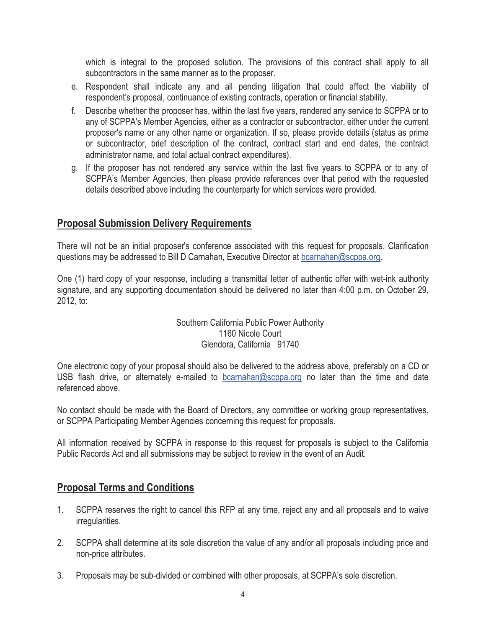which is integral to the proposed solution. The provisions of this contract shall apply to all subcontractors in the same manner as to the proposer.

- e. Respondent shall indicate any and all pending litigation that could affect the viability of respondent's proposal, continuance of existing contracts, operation or financial stability.
- f. Describe whether the proposer has, within the last five years, rendered any service to SCPPA or to any of SCPPA's Member Agencies, either as a contractor or subcontractor, either under the current proposer's name or any other name or organization. If so, please provide details (status as prime or subcontractor, brief description of the contract, contract start and end dates, the contract administrator name, and total actual contract expenditures).
- g. If the proposer has not rendered any service within the last five years to SCPPA or to any of SCPPA's Member Agencies, then please provide references over that period with the requested details described above including the counterparty for which services were provided.

## **Proposal Submission Delivery Requirements**

There will not be an initial proposer's conference associated with this request for proposals. Clarification questions may be addressed to Bill D Carnahan, Executive Director at bcarnahan@scppa.org.

One (1) hard copy of your response, including a transmittal letter of authentic offer with wet-ink authority signature, and any supporting documentation should be delivered no later than 4:00 p.m. on October 29, 2012, to:

#### Southern California Public Power Authority 1160 Nicole Court Glendora, California 91740

One electronic copy of your proposal should also be delivered to the address above, preferably on a CD or USB flash drive, or alternately e-mailed to bcarnahan@scppa.org no later than the time and date referenced above.

No contact should be made with the Board of Directors, any committee or working group representatives, or SCPPA Participating Member Agencies concerning this request for proposals.

All information received by SCPPA in response to this request for proposals is subject to the California Public Records Act and all submissions may be subject to review in the event of an Audit.

## **Proposal Terms and Conditions**

- 1. SCPPA reserves the right to cancel this RFP at any time, reject any and all proposals and to waive irregularities.
- 2. SCPPA shall determine at its sole discretion the value of any and/or all proposals including price and non-price attributes.
- 3. Proposals may be sub-divided or combined with other proposals, at SCPPA's sole discretion.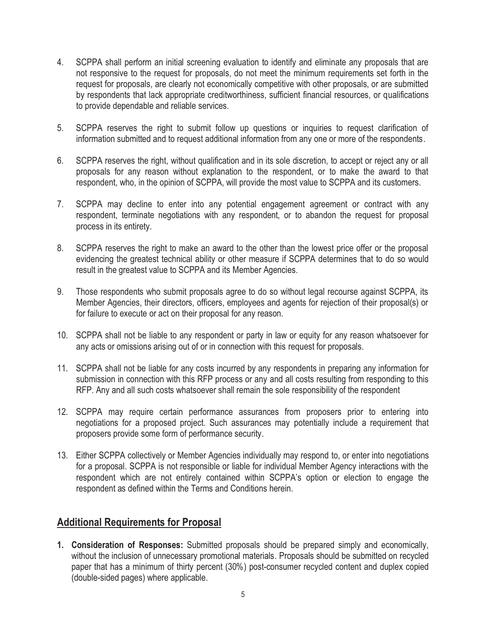- 4. SCPPA shall perform an initial screening evaluation to identify and eliminate any proposals that are not responsive to the request for proposals, do not meet the minimum requirements set forth in the request for proposals, are clearly not economically competitive with other proposals, or are submitted by respondents that lack appropriate creditworthiness, sufficient financial resources, or qualifications to provide dependable and reliable services.
- 5. SCPPA reserves the right to submit follow up questions or inquiries to request clarification of information submitted and to request additional information from any one or more of the respondents.
- 6. SCPPA reserves the right, without qualification and in its sole discretion, to accept or reject any or all proposals for any reason without explanation to the respondent, or to make the award to that respondent, who, in the opinion of SCPPA, will provide the most value to SCPPA and its customers.
- 7. SCPPA may decline to enter into any potential engagement agreement or contract with any respondent, terminate negotiations with any respondent, or to abandon the request for proposal process in its entirety.
- 8. SCPPA reserves the right to make an award to the other than the lowest price offer or the proposal evidencing the greatest technical ability or other measure if SCPPA determines that to do so would result in the greatest value to SCPPA and its Member Agencies.
- 9. Those respondents who submit proposals agree to do so without legal recourse against SCPPA, its Member Agencies, their directors, officers, employees and agents for rejection of their proposal(s) or for failure to execute or act on their proposal for any reason.
- 10. SCPPA shall not be liable to any respondent or party in law or equity for any reason whatsoever for any acts or omissions arising out of or in connection with this request for proposals.
- 11. SCPPA shall not be liable for any costs incurred by any respondents in preparing any information for submission in connection with this RFP process or any and all costs resulting from responding to this RFP. Any and all such costs whatsoever shall remain the sole responsibility of the respondent
- 12. SCPPA may require certain performance assurances from proposers prior to entering into negotiations for a proposed project. Such assurances may potentially include a requirement that proposers provide some form of performance security.
- 13. Either SCPPA collectively or Member Agencies individually may respond to, or enter into negotiations for a proposal. SCPPA is not responsible or liable for individual Member Agency interactions with the respondent which are not entirely contained within SCPPA's option or election to engage the respondent as defined within the Terms and Conditions herein.

## **Additional Requirements for Proposal**

**1. Consideration of Responses:** Submitted proposals should be prepared simply and economically, without the inclusion of unnecessary promotional materials. Proposals should be submitted on recycled paper that has a minimum of thirty percent (30%) post-consumer recycled content and duplex copied (double-sided pages) where applicable.